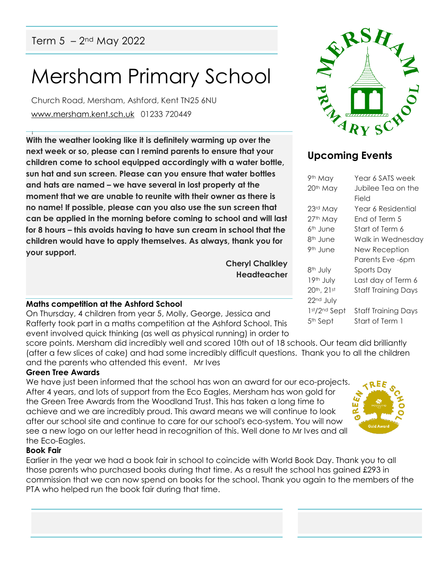# Mersham Primary School

Church Road, Mersham, Ashford, Kent TN25 6NU [www.mersham.kent.sch.uk](http://www.mersham.kent.sch.uk/) 01233 720449

! **With the weather looking like it is definitely warming up over the next week or so, please can I remind parents to ensure that your children come to school equipped accordingly with a water bottle, sun hat and sun screen. Please can you ensure that water bottles and hats are named – we have several in lost property at the moment that we are unable to reunite with their owner as there is no name! If possible, please can you also use the sun screen that can be applied in the morning before coming to school and will last for 8 hours – this avoids having to have sun cream in school that the children would have to apply themselves. As always, thank you for your support.** 

> **Cheryl Chalkley Headteacher**

# **Maths competition at the Ashford School**

On Thursday, 4 children from year 5, Molly, George, Jessica and Rafferty took part in a maths competition at the Ashford School. This event involved quick thinking (as well as physical running) in order to

score points. Mersham did incredibly well and scored 10th out of 18 schools. Our team did brilliantly (after a few slices of cake) and had some incredibly difficult questions. Thank you to all the children and the parents who attended this event. Mr Ives

#### **Green Tree Awards**

We have just been informed that the school has won an award for our eco-projects. After 4 years, and lots of support from the Eco Eagles, Mersham has won gold for the Green Tree Awards from the Woodland Trust. This has taken a long time to achieve and we are incredibly proud. This award means we will continue to look after our school site and continue to care for our school's eco-system. You will now see a new logo on our letter head in recognition of this. Well done to Mr Ives and all the Eco-Eagles.

# **Book Fair**

Earlier in the year we had a book fair in school to coincide with World Book Day. Thank you to all those parents who purchased books during that time. As a result the school has gained £293 in commission that we can now spend on books for the school. Thank you again to the members of the PTA who helped run the book fair during that time.



# **Upcoming Events**

| 9th May               | Year 6 SATS week           |
|-----------------------|----------------------------|
| 20th May              | Jubilee Tea on the         |
|                       | Field                      |
| 23rd May              | Year 6 Residential         |
| 27th May              | End of Term 5              |
| 6 <sup>th</sup> June  | Start of Term 6            |
| 8 <sup>th</sup> June  | Walk in Wednesday          |
| 9 <sup>th</sup> June  | New Reception              |
|                       | Parents Eve -6pm           |
| 8 <sup>th</sup> July  | Sports Day                 |
| 19th July             | Last day of Term 6         |
| 20th, 21st            | <b>Staff Training Days</b> |
| 22 <sup>nd</sup> July |                            |
| 1st/2nd Sept          | <b>Staff Training Days</b> |
| 5 <sup>th</sup> Sept  | Start of Term 1            |
|                       |                            |

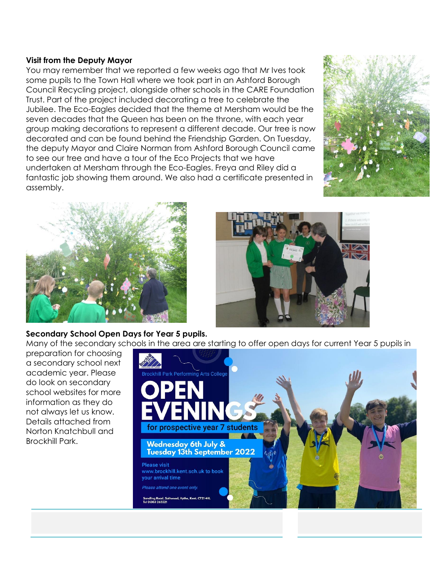#### **Visit from the Deputy Mayor**

You may remember that we reported a few weeks ago that Mr Ives took some pupils to the Town Hall where we took part in an Ashford Borough Council Recycling project, alongside other schools in the CARE Foundation Trust. Part of the project included decorating a tree to celebrate the Jubilee. The Eco-Eagles decided that the theme at Mersham would be the seven decades that the Queen has been on the throne, with each year group making decorations to represent a different decade. Our tree is now decorated and can be found behind the Friendship Garden. On Tuesday, the deputy Mayor and Claire Norman from Ashford Borough Council came to see our tree and have a tour of the Eco Projects that we have undertaken at Mersham through the Eco-Eagles. Freya and Riley did a fantastic job showing them around. We also had a certificate presented in assembly.





# **Secondary School Open Days for Year 5 pupils.**

Many of the secondary schools in the area are starting to offer open days for current Year 5 pupils in

preparation for choosing a secondary school next academic year. Please do look on secondary school websites for more information as they do not always let us know. Details attached from Norton Knatchbull and Brockhill Park.

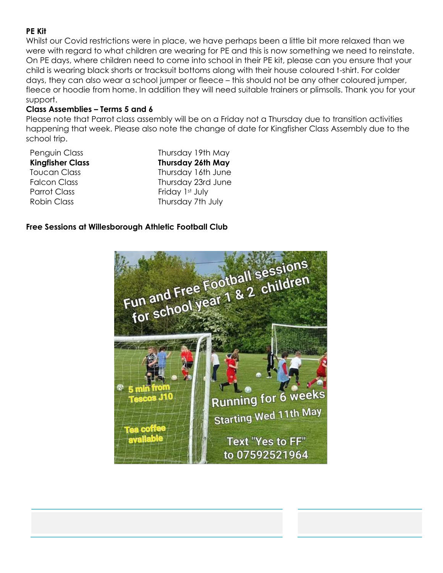# **PE Kit**

Whilst our Covid restrictions were in place, we have perhaps been a little bit more relaxed than we were with regard to what children are wearing for PE and this is now something we need to reinstate. On PE days, where children need to come into school in their PE kit, please can you ensure that your child is wearing black shorts or tracksuit bottoms along with their house coloured t-shirt. For colder days, they can also wear a school jumper or fleece – this should not be any other coloured jumper, fleece or hoodie from home. In addition they will need suitable trainers or plimsolls. Thank you for your support.

#### **Class Assemblies – Terms 5 and 6**

Please note that Parrot class assembly will be on a Friday not a Thursday due to transition activities happening that week. Please also note the change of date for Kingfisher Class Assembly due to the school trip.

| Penguin Class           | Thursday 19th May        |
|-------------------------|--------------------------|
| <b>Kingfisher Class</b> | <b>Thursday 26th May</b> |
| <b>Toucan Class</b>     | Thursday 16th June       |
| <b>Falcon Class</b>     | Thursday 23rd June       |
| <b>Parrot Class</b>     | Friday 1st July          |
| <b>Robin Class</b>      | Thursday 7th July        |

### **Free Sessions at Willesborough Athletic Football Club**

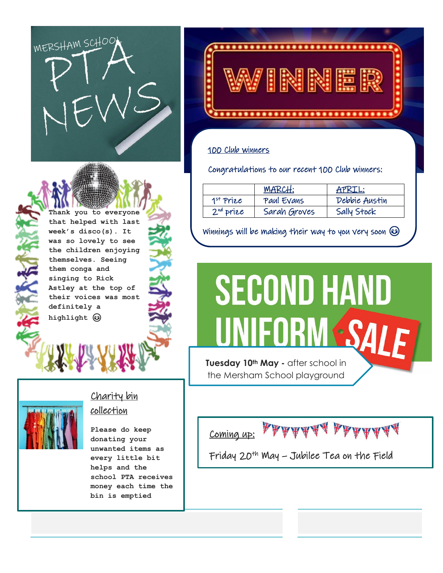



### 100 Club winners

Congratulations to our recent 100 Club winners:

|             | <b>MARCH:</b> | APRIL:        |
|-------------|---------------|---------------|
| $1st$ Prize | Paul Evans    | Debbie Austin |
| $2nd$ prize | Sarah Groves  | Sally Stock   |

Winnings will be making their way to you very soon  $\odot$ 



the Mersham School playground

Coming up:

Friday 20th May – Jubilee Tea on the Field

**Thank you to everyone that helped with last week's disco(s). It was so lovely to see the children enjoying themselves. Seeing them conga and singing to Rick Astley at the top of their voices was most definitely a highlight** 



# Charity bin collection

**Please do keep donating your unwanted items as every little bit helps and the school PTA receives money each time the bin is emptied**

i,